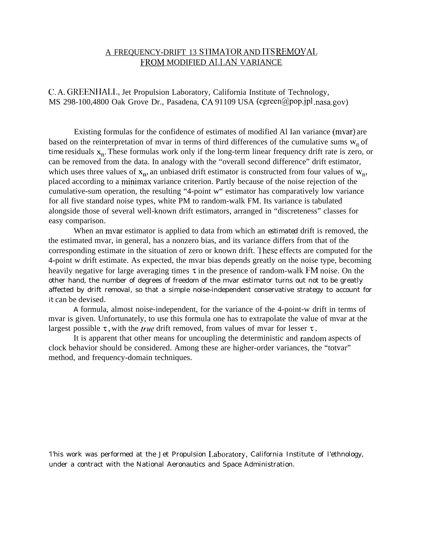# A FREQUENCY-DRIFT 13 STIMATOR AND ITS REMOVAL FROM MODIFIED ALLAN VARIANCE

C. A. GREENHALL, Jet Propulsion Laboratory, California Institute of Technology, MS 298-100,4800 Oak Grove Dr., Pasadena, CA 91109 USA (cgreen@pop.jpl .nasa.gov)

Existing formulas for the confidence of estimates of modified Al Ian variance (mvar) are based on the reinterpretation of mvar in terms of third differences of the cumulative sums  $w_n$  of time residuals  $x_n$ . These formulas work only if the long-term linear frequency drift rate is zero, or can be removed from the data. In analogy with the "overall second difference" drift estimator, which uses three values of  $x_n$ , an unbiased drift estimator is constructed from four values of  $w_n$ , placed according to a minirnax variance criterion. Partly because of the noise rejection of the cumulative-sum operation, the resulting "4-point w" estimator has comparatively low variance for all five standard noise types, white PM to random-walk FM. Its variance is tabulated alongside those of several well-known drift estimators, arranged in "discreteness" classes for easy comparison.

When an myar estimator is applied to data from which an *estimated* drift is removed, the the estimated mvar, in general, has a nonzero bias, and its variance differs from that of the corresponding estimate in the situation of zero or known drift. l'hese effects are computed for the 4-point w drift estimate. As expected, the mvar bias depends greatly on the noise type, becoming heavily negative for large averaging times  $\tau$  in the presence of random-walk FM noise. On the other hand, the number of degrees of freedom of the mvar estimator turns out not to be greatly affected by drift removal, so that a simple noise-independent conservative strategy to account for it can be devised.

A formula, almost noise-independent, for the variance of the 4-point-w drift in terms of mvar is given. Unfortunately, to use this formula one has to extrapolate the value of mvar at the largest possible  $\tau$ , with the *true* drift removed, from values of mvar for lesser  $\tau$ .

It is apparent that other means for uncoupling the deterministic and ranclom aspects of clock behavior should be considered. Among these are higher-order variances, the "totvar" method, and frequency-domain techniques.

'l'his work was performed at the Jet Propulsion I,aboratory, California Institute of l'ethnology, under a contract with the National Aeronautics and Space Administration.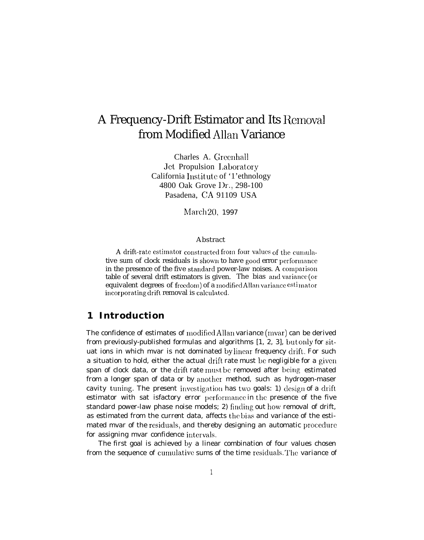# A Frequency-Drift Estimator and Its Removal from Modified Allan Variance

Charles A. Greenhall Jet Propulsion I,aboratory California Institute of '1'ethnology 4800 Oak Grove Dr., 298-100 Pasadena, CA 91109 USA

March 20, 1997

#### Abstract

A drift-rate estimator constructed from four values of the cumulative sum of clock residuals is shown to have good error performance in the presence of the five standard power-law noises. A comparison table of several drift estimators is given. The bias and variance (or equivalent degrees of freedom) of a modified Allan variance estimator incorporating drift removal is calculated.

# **1 Introduction**

The confidence of estimates of moclified Allan variance (mvar) can be derived from previously-published formulas and algorithms [1, 2, 3], but olily for situat ions in which mvar is not dominated by linear frequency drift. For such a situation to hold, either the actual drift rate must be negligible for a given span of clock data, or the drift rate must be removed after being estimated from a longer span of data or by another method, such as hydrogen-maser cavity tuning. The present investigation has two goals: 1) design of a drift estimator with sat isfactory error performance in the presence of the five standard power-law phase noise models; 2) finding out how removal of drift, as estimated from the *current* data, affects the bias and variance of the estimated mvar of the residuals, and thereby designing an automatic procedure for assigning mvar confidence intervals.

The first goal is achieved by a linear combination of four values chosen from the sequence of cumulative sums of the time residuals. The variance of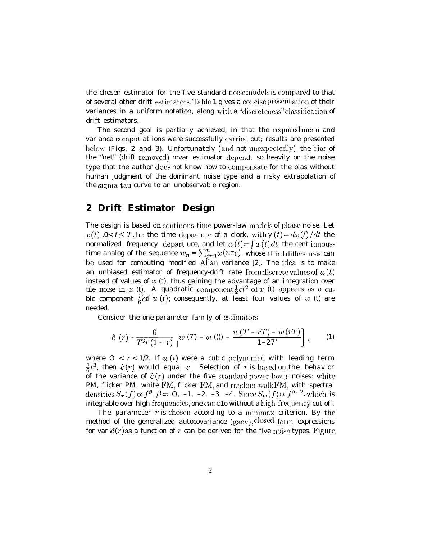the chosen estimator for the five standard noise models is compared to that of several other drift estimators. Table 1 gives a concise presentation of their variances in a uniform notation, along with a "discreteness" classification of drift estimators.

The second goal is partially achieved, in that the required mean and variance comput at ions were successfully carried out; results are presented below (Figs. 2 and 3). Unfortunately (and not unexpectedly), the bias of the "net" (drift removed) mvar estimator depends so heavily on the noise type that the author does not know how to compensate for the bias without human judgment of the dominant noise type and a risky extrapolation of the sigma-tau curve to an unobservable region.

# **2 Drift Estimator Design**

The design is based on continous-time power-law models of phase noise. Let  $x(t)$ ,  $0 < t \leq T$ , be the time departure of a clock, with y  $(t) = dx(t)/dt$  the normalized frequency depart ure, and let  $w(t) = \int x(t) dt$ , the cent inuoustime analog of the sequence  $w_n = \sum_{j=1}^n x(n\tau_0)$ , whose third differences can be used for computing modified Allan variance [2]. The idea is to make an unbiased estimator of frequency-drift rate from discrete values of  $w(t)$ instead of values of  $x$  (t), thus gaining the advantage of an integration over tile noise in x (t). A quadratic component  $\frac{1}{2}ct^2$  of x (t) appears as a cubic component  $\frac{1}{6} c t f w(t)$ ; consequently, at least four values of w (t) are needed.

Consider the one-parameter family of estimators

$$
\hat{c}(r) - \frac{6}{T^3r(1-r)} \int_{\left[\begin{matrix}w(7) - w(0) - \frac{w(T - rT) - w(rT)}{1 - 27}\end{matrix}\right],
$$
 (1)

where  $0 < r < 1/2$ . If  $w(t)$  were a cubic polynomial with leading term  $\frac{1}{6}$   $c^3$ , then  $\hat{c}(r)$  would equal c. Selection of r is based on the behavior of the variance of  $\hat{c}(r)$  under the five standard power-law x noises: white PM, flicker PM, white FM, flicker FM, and random-walk FM, with spectral densities  $S_x (f) \propto f^{\beta}, \beta = 0, -1, -2, -3, -4$ . Since  $S_w (f) \propto f^{\beta - 2}$ , which is integrable over high frequencies, one can c1o without a high-frequency cut off.

The parameter  $r$  is chosen according to a minimax criterion. By the method of the generalized autocovariance  $(gacv)$ , closed-form expressions for var  $\hat{c}(r)$  as a function of r can be derived for the five noise types. Figure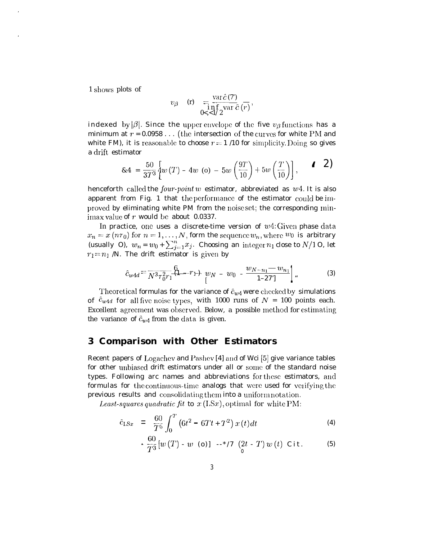1 shows plots of

$$
v_{\beta} \quad \text{(r)} \quad = \frac{\operatorname{var} \hat{c} \, (7)}{\inf_{0 < \, 1/2} \operatorname{var} \hat{c} \, (r)},
$$

indexed by  $|\beta|$ . Since the upper envelope of the five  $v_{\beta}$  functions has a minimum at  $r = 0.0958...$  (the intersection of the curves for white PM and white FM), it is reasonable to choose  $r = 1/10$  for simplicity. Doing so gives a drift estimator

$$
8.4 = \frac{50}{37^3} \left\{ w(T) - 4w \quad (o) - 5w \left( \frac{9T}{10} \right) + 5w \left( \frac{T}{10} \right) \right\}, \qquad 1 \quad 2)
$$

henceforth called the *four-point w* estimator, abbreviated as  $w<sub>4</sub>$ . It is also apparent from Fig. 1 that the performance of the estimator could be improved by eliminating white PM from the noise set; the corresponding minimax value of  $r$  would be about 0.0337.

In practice, one uses a cliscrete-time version of  $w4$ : Given phase data  $x_n = x(n\tau_0)$  for  $n = 1, ..., N$ , form the sequence  $w_n$ , where  $w_0$  is arbitrary (usually O),  $w_n = w_0 + \sum_{j=1}^n x_j$ . Choosing an integer  $n_1$  close to  $N/1$  O, let  $r_1 = n_1$  /N. The drift estimator is given by

$$
\hat{c}_{w4d} = \frac{6}{N^3 \tau_0^2 r_1} \left(1 - r_1\right) w_N - w_0 - \frac{w_{N-n_1} - w_{n_1}}{1 - 27!} \Big| \tag{3}
$$

Theoretical formulas for the variance of  $\hat{c}_{w4}$  were checked by simulations of  $\hat{c}_{w4d}$  for all five noise types, with 1000 runs of  $N = 100$  points each. Excellent agreement was observed. Below, a possible method for estimating the variance of  $\hat{c}_{w4}$  from the data is given.

### 3 Comparison with Other Estimators

Recent papers of Logachev and Pashev [4] and of Wci [5] give variance tables for other unbiased drift estimators under all or some of the standard noise types. Following arc names and abbreviations for these estimators, and formulas for the continuous-time analogs that were used for verifying the previous results and consolidating them into a uniform notation.

Least-squares quadratic fit to  $x$  (I.Sx), optimal for white PM:

$$
\hat{c}_{LSx} = \frac{60}{T^5} \int_0^T \left( 6t^2 - 6Tt + T^2 \right) x(t) dt \tag{4}
$$

$$
\frac{60}{T^3}[w(T) - w (o)] -\frac{*}{7}[2t - T]w(t) \text{ Cit.}
$$
 (5)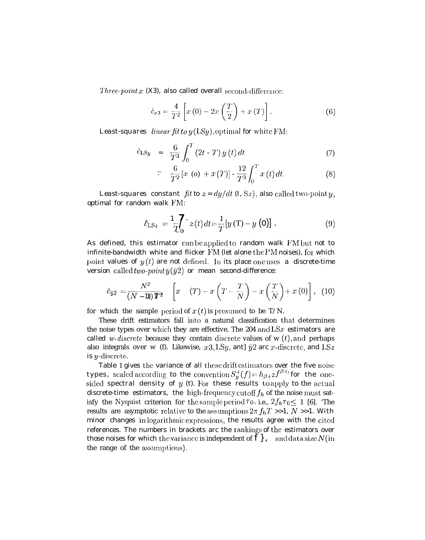*Three-point*  $x$  (X3), also called overall second-difference:

$$
\hat{c}_{x3} = \frac{4}{T^2} \left[ x \left( 0 \right) - 2x \left( \frac{T}{2} \right) + x \left( T \right) \right]. \tag{6}
$$

*Least-squares linear fit to*  $y$  (LSy), optimal for white FM:

$$
\hat{c}_{LSy} = \frac{6}{T^3} \int_0^T (2t - T) y(t) dt
$$
\n(7)

$$
= \frac{6}{T^3} \int_0^{\pi} (2t - T) g(t) dt
$$
\n
$$
= \frac{6}{T^2} [x (\mathbf{o}) + x(T)] - \frac{12}{T^3} \int_0^T x(t) dt.
$$
\n(8)

*Least-squares constant fit to*  $z = dy/dt$  (I, Sz), also called two-point y, optimal for random walk FM:

$$
\hat{c}_{LSz} = \frac{1}{T} \int_0^T z(t) dt = \frac{1}{T} [y(T) - y(0)] . \tag{9}
$$

As defined, this estimator can be applied to random walk FM but not to infinite-bandwidth white and flicker  $FM$  (let alone the PM noises), for which point values of  $y(t)$  are not defined. In its place one uses a discrete-time version called *two-point*  $\bar{y}(\bar{y}2)$  or mean second-difference:

$$
\hat{c}_{\bar{y}2} = \frac{N^2}{(N-1)\mathbf{T}^2} \left[ x \quad (T) - x \left( T - \frac{T}{N} \right) - x \left( \frac{T}{N} \right) + x \left( 0 \right) \right], \tag{10}
$$

for which the sample period of  $x(t)$  is presumed to be T/N.

These drift estimators fall into a natural classification that determines the noise types over which they are effective. The 204 and  $\text{L}Sx$  estimators are called *w-discrete* because they contain discrete values of  $w(t)$ , and perhaps also integrals over w (f). Likewise,  $x3$ , LSy, ant]  $\bar{y}2$  arc x-discrete, and LSz is  $y$ -discrete.

Table 1 gives the variance of all these drift estimators over the five noise types, scaled according to the convention  $S_y^+(f) = h_{\beta+2}f^{\beta+2}$  for the onesided spectral density of  $y$  (t). For these results to apply to the actual discrete-time estimators, the high-frequency cutoff  $f_h$  of the noise must satisfy the Nyquist criterion for the sample period  $\tau_0$ , i.e.,  $2f_h\tau_0 \leq 1$  [6]. 'The results are asymptotic relative to the assumptions  $2\pi f_hT >>1$ ,  $N >>1$ . With minor changes in logarithmic expressions, the results agree with the cited references. The numbers in brackets arc the rankings of the estimators over those noises for which the variance is independent of  $f$ , and data size N (in the range of the assumptions).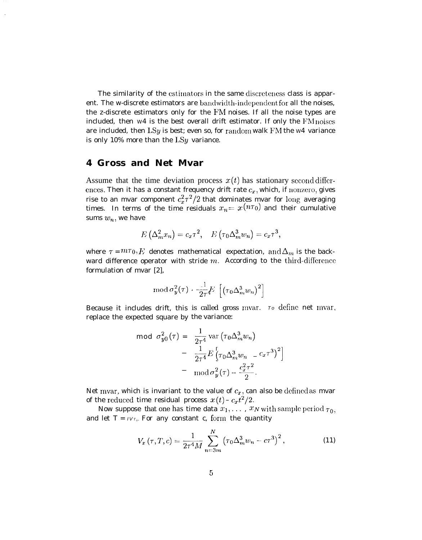The similarity of the estimators in the same discreteness class is apparent. The w-discrete estimators are bandwidth-independent for all the noises, the z-discrete estimators only for the FM noises. If all the noise types are included, then  $W4$  is the best overall drift estimator. If only the  $FM$  noises are included, then  $LSy$  is best; even so, for random walk FM the W4 variance is only 10% more than the  $LSy$  variance.

## **4 Gross and Net Mvar**

Assume that the time deviation process  $x(t)$  has stationary second differences. Then it has a constant frequency drift rate  $c_x$ , which, if nonzero, gives rise to an mvar component  $c_x^2 \tau^2/2$  that dominates mvar for long averaging times. In terms of the time residuals  $x_n = x(n\tau_0)$  ancl their cumulative sums  $w_n$ , we have

$$
E\left(\Delta_m^2x_n\right)=c_x\tau^2, \quad E\left(\tau_0\Delta_m^3w_n\right)=c_x\tau^3,
$$

where  $\tau = m\tau_0$ , *F*; denotes mathematical expectation, and  $\Delta_m$  is the backward difference operator with stride  $m$ . According to the third-difference formulation of mvar [2],

$$
\operatorname{mod} \sigma_{\boldsymbol{y}}^2(\tau) \cdot \frac{1}{2\tau} E\left[ \left( \tau_0 \Delta_m^3 w_n \right)^2 \right]
$$

Because it includes drift, this is called gross mvar. *To define* net lnvar, replace the expected square by the variance:

$$
\begin{aligned}\n\text{mod} \ \sigma_{y0}^2(\tau) &= \ \frac{1}{2\tau^4} \, \text{var} \left( \tau_0 \Delta_m^3 w_n \right) \\
&= \ \frac{1}{2\tau^4} E \left[ \tau_0 \Delta_m^3 w_n \ - \ c_x \tau^3 \right]^2 \right] \\
&= \ \text{mod} \, \sigma_y^2(\tau) - \frac{c_x^2 \tau^2}{2}.\n\end{aligned}
$$

Net mvar, which is invariant to the value of  $c_x$ , can also be defined as mvar of the reduced time residual process  $x(t) - c_x t^2/2$ .

*Now* suppose that one has time data  $x_1, \ldots, x_N$  with sample period  $\tau_0$ , and let  $T = IV_T$ . For any constant c, form the quantity

$$
V_x(\tau, T, c) = \frac{1}{2\tau^4 M} \sum_{n=3m}^{N} \left(\tau_0 \Delta_m^3 w_n - c\tau^3\right)^2, \qquad (11)
$$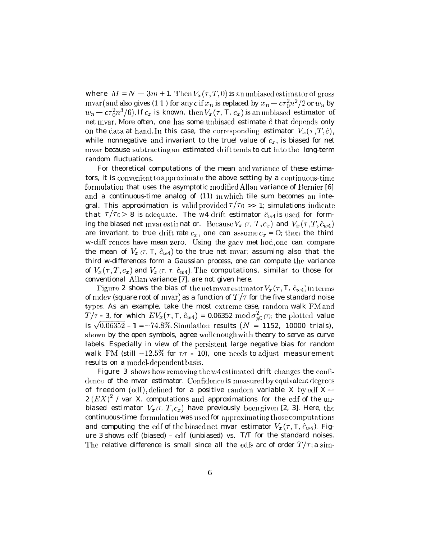where  $M = N - 3m + 1$ . Then  $V_x(\tau, T, 0)$  is an unbiased estimator of gross mvar(and also gives (1 1) for any c if  $x_n$  is replaced by  $x_n - c\tau_0^2 n^2/2$  or  $w_n$  by  $w_n = c\tau_0^2 n^3/6$ . If  $c_x$  is known, then  $V_x(\tau, T, c_x)$  is an unbiased estimator of net mvar. More often, one has some unbiased estimate  $\hat{c}$  that depends only on the data at hand. In this case, the corresponding estimator  $V_x(\tau, T, \hat{c})$ , while nonnegative and invariant to the true! value of  $c_x$ , is biased for net mvar because subtracting an estimated drift tends to cut into the long-term random fluctuations.

For theoretical computations of the mean and variance of these estimators, it is convenient to approximate the above setting by a continuous-time formulation that uses the asymptotic modified Allan variance of Bernier [6] and a continuous-time analog of (11) in which tile sum becomes an integral. This approximation is valid provided  $\tau/\tau_0 \gg 1$ ; simulations indicate that  $\tau/\tau_0 \geq 8$  is adequate. The w4 drift estimator  $\hat{c}_{w4}$  is used for forming the biased net mvar est in nat or. Because  $V_x$  ( $\tau$ ,  $T$ ,  $c_x$ ) and  $V_x(\tau, T, \hat{c}_{w4})$ are invariant to true drift rate  $c_x$ , one can assume  $c_x = 0$ ; then the third w-cliff rences have mean zero. Using the gacy met hod, one can compare the mean of  $V_x$  ( $\tau$ ,  $T$ ,  $\hat{c}_{w4}$ ) to the true net mvar; assuming also that the third w-differences form a Gaussian process, one can compute the variance of  $V_x(\tau, T, c_x)$  and  $V_x(\tau, \tau, \hat{c}_{w4})$ . The computations, similar to those for conventional Allan variance [7], are not given here.

Figure 2 shows the bias of the net mvar estimator  $V_x(\tau, T, \hat{c}_{w4})$  in terms of mdev (square root of mvar) as a function of  $T/\tau$  for the five standard noise types. As an example, take the most extreme case, random walk FM and  $T/\tau$  = 3, for which  $EV_x(\tau, T, \hat{c}_{w4}) = 0.06352 \text{ mod } \sigma_{y0}^2(\tau)$ ; the plotted value is  $\sqrt{0.06352} - 1 = -74.8\%$ . Simulation results (N = 1152, 10000 trials), shown by the open symbols, agree well enough with theory to serve as curve labels. Especially in view of the persistent large negative bias for random walk FM (still  $-12.5\%$  for  $\tau/\tau$  = 10), one needs to adjust measurement results on a model-dependent basis.

Figure 3 shows how removing the  $w4$  estimated drift changes the confidence of the mvar estimator. Confidence is measured by equivalent degrees of freedom (edf), defined for a positive random variable X by edf  $X =$  $2 (EX)^2$  / var X. computations and approximations for the edf of the unbiased estimator  $V_x(\tau, T, c_x)$  have previously been given [2, 3]. Here, the continuous-time formulation was used for approximating those computations and computing the edf of the biased net mvar estimator  $V_x(\tau, T, \hat{c}_{w4})$ . Figure  $3$  shows edf (biased) – edf (unbiased) vs. T/T for the standard noises. The relative difference is small since all the edfs arc of order  $T/\tau$ ; a sim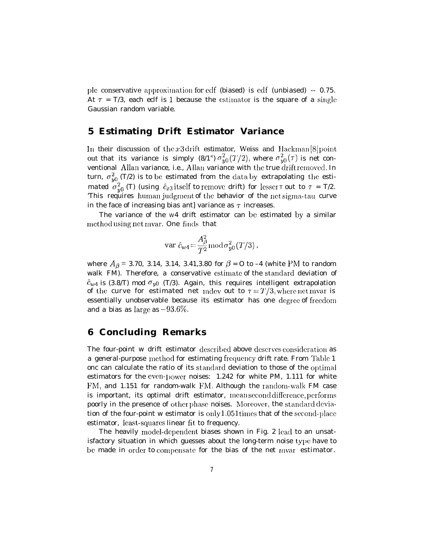ple conservative approximation for edf (biased) is edf (unbiased) -- 0.75. At  $\tau = T/3$ , each eclf is 1 because the estimator is the square of a single Gaussian random variable.

#### $\bf 5$ **Estimating Drift Estimator Variance**

In their discussion of the x3 drift estimator, Weiss and Hackman  $[8]$  point out that its variance is simply  $(8/1^2) \sigma_{y0}^2(T/2)$ , where  $\sigma_{y0}^2(\tau)$  is net conventional Allan variance, i.e., Allan variance with the true drift removed. In turn,  $\sigma_{v0}^2$  (T/2) is to be estimated from the data by extrapolating the esti*mated*  $\sigma_{y0}^2$  (*T*) (using  $\hat{c}_{x3}$  itself to remove drift) for lesser *T* out to  $\tau = T/2$ .<br>This requires human judgment of the behavior of the net sigma-tau curve in the face of increasing bias antl variance as  $\tau$  increases.

The variance of the w4 drift estimator can be estimated by a similar method using net mvar. One finds that

$$
\mathop{\rm var}\nolimits \ \hat{c}_{w4} \!=\! \frac{A^2_\beta}{T^2} \mathop{\rm mod}\nolimits \sigma^2_{y0}(T/3)\,,
$$

where  $A_{\beta} = 3.70, 3.14, 3.14, 3.41, 3.80$  for  $\beta = 0$  to -4 (white PM to random walk FM). Therefore, a conservative estimate of the standard deviation of  $\hat{c}_{w4}$  is (3.8/T) mod  $\sigma_{y0}$  (T/3). Again, this requires intelligent extrapolation of the curve for estimated net mdev out to  $\tau = T/3$ , where net mvar is essentially unobservable because its estimator has one degree of freedom and a bias as large as  $-93.6\%$ .

#### **Concluding Remarks** 6

The four-point w drift estimator described above deserves consideration as a general-purpose method for estimating frequency drift rate. From Table 1 one can calculate the ratio of its standard deviation to those of the optimal estimators for the even-power noises: 1.242 for white PM, 1.111 for white FM, and 1.151 for random-walk FM. Although the random-walk FM case is important, its optimal drift estimator, mean second difference, performs poorly in the presence of other phase noises. Moreover, the standard deviation of the four-point w estimator is only 1.051 times that of the second-place estimator, least-squares linear fit to frequency.

The heavily model-dependent biases shown in Fig. 2 lead to an unsatisfactory situation in which guesses about the long-term noise type have to be made in order to compensate for the bias of the net mvar estimator.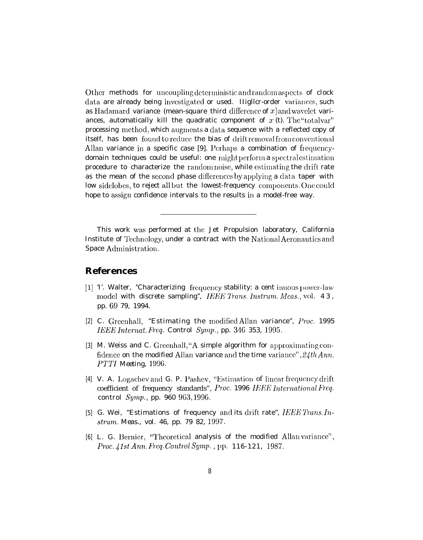Other methods for uncoupling deterministic and random aspects of clock data are already being investigated or used. Highler-order variances, such as Hadamard variance (mean-square third difference of  $x$ ) and wavelet variances, automatically kill the quadratic component of  $x$  (t). The "total var" processing method, which augments a data sequence with a reflected copy of itself, has been found to reduce the bias of drift removal from conventional Allan variance in a specific case [9]. Perhaps a combination of frequencydomain techniques could be useful: one might perform a spectral estimation procedure to characterize the random noise, while estimating the drift rate as the mean of the second phase differences by applying a data taper with low sidelobes, to reject all but the lowest-frequency components. One could hope to assign confidence intervals to the results in a model-free way.

This work was performed at the Jet Propulsion laboratory, California Institute of Technology, under a contract with the National Aeronautics and Space Administration.

### **References**

- [1] T. Walter, "Characterizing frequency stability: a cent inuous power-law model with discrete sampling", IEEE Trans. Instrum. Meas., vol. 43, pp. 69 79, 1994.
- [2] C. Greenhall, "Estimating the modified Allan variance", Proc. 1995 IEEE Internat. Freq. Control Symp., pp. 346 353, 1995.
- [3] M. Weiss and C. Greenhall, "A simple algorithm for approximating confidence on the modified Allan variance and the time variance",  $24th Ann$ . PTTI Meeting, 1996.
- [4] V. A. Logachev and G. P. Pashev, "Estimation of linear frequency drift coefficient of frequency standards", Proc. 1996 IEEE International Freq. control Symp., pp.  $960\,963,1996$ .
- [5]  $G.$  Wei, "Estimations of frequency and its drift rate", IEEE Trans. Instrum. Meas., vol. 46, pp. 79 82, 1997.
- [6] L. G. Bernier, "Theoretical analysis of the modified Allan variance", Proc. 41st Ann. Freq. Control Symp., pp. 116-121, 1987.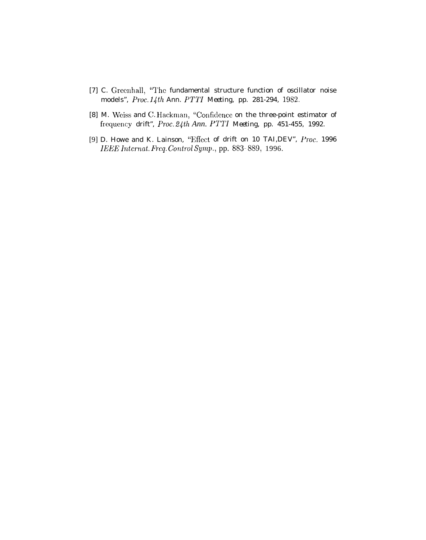- *[7] C.* Greenhall, 'The fundamental structure function of oscillator noise models", *Proc. Idth Ann. PTTI Meeting, pp. 281-294, 1982.*
- [8] M. Weiss and C. Hackman, "Confidence on the three-point estimator of frec{uency drift", *Proc. .2dth Ann. PTTI Meeting, pp. 451-455, 1992.*
- [9] D. Howe and K. Lainson, "Effect of drift on 10 TAI, DEV", Proc. 1996 *IEEE Internat. Freq. Control Symp., pp. 883-889, 1996.*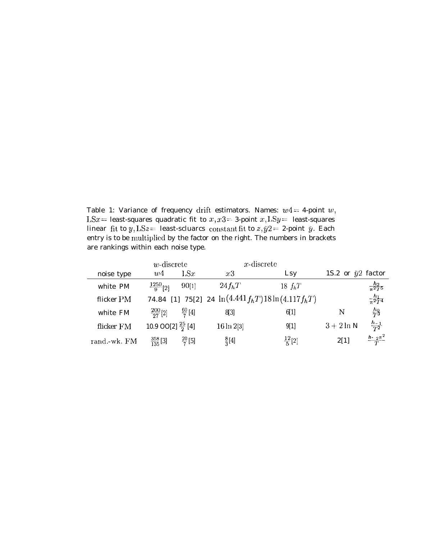Table 1: Variance of frequency drift estimators. Names:  $w4 = 4$ -point w,  $LSx =$  least-squares quadratic fit to  $x, x3 = 3$ -point  $x, LSy =$  least-squares linear fit to  $y, \text{LS}z = 1$  least-scluarcs constant fit to  $z, \bar{y}2 = 2$ -point  $\bar{y}$ . Each entry is to be multiplied by the factor on the right. The numbers in brackets are rankings within each noise type.

|              | $w$ -discrete                           |                    | $x$ -discrete                                             |                   |                           |                         |
|--------------|-----------------------------------------|--------------------|-----------------------------------------------------------|-------------------|---------------------------|-------------------------|
| noise type   | w4                                      | LSx                | x3                                                        | Lsy               | 1S.2 or $\bar{y}2$ factor |                         |
| white PM     | $\frac{1250}{9}$ [2]                    | 90[1]              | $24f_hT$                                                  | $18 f_hT$         |                           | $\frac{h_2}{\pi^2}$     |
| flicker PM   |                                         |                    | 74.84 [1] 75[2] 24 $\ln(4.441 f_h T) 18 \ln(4.117 f_h T)$ |                   |                           | $\frac{h_1}{\pi^2 T^4}$ |
| white FM     | $\frac{200}{27}$ [2] $\frac{60}{7}$ [4] |                    | 8[3]                                                      | 6[1]              | N                         | $rac{h_0}{T^3}$         |
| flicker FM   | 10.9 OO[2] $\frac{25}{2}$ [4]           |                    | $16 \ln 2[3]$                                             | 9[1]              | $3+2\ln N$                | $\frac{h_{-1}}{T^2}$    |
| rand.-wk. FM | $\frac{358}{135}$ [3]                   | $\frac{20}{7}$ [5] | $\frac{8}{3}$ [4]                                         | $\frac{12}{5}[2]$ | 2[1]                      | $\frac{h - 2\pi^2}{T}$  |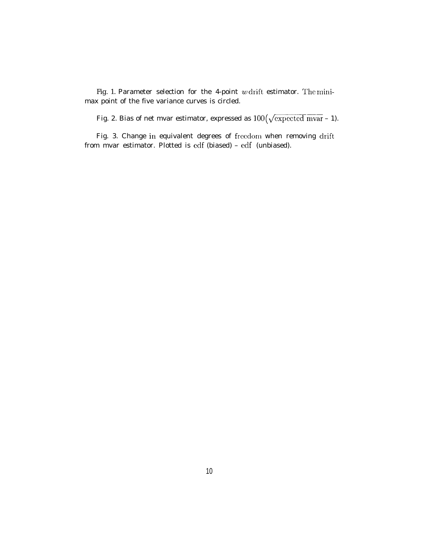Fig. 1. Parameter selection for the 4-point  $w$  drift estimator. The minimax point of the five variance curves is circled.

Fig. 2. Bias of net mvar estimator, expressed as  $100(\sqrt{\text{expected max}} - 1)$ .

Fig. 3. Change in equivalent degrees of freedom when removing drift from mvar estimator. Plotted is eclf (biased) – edf (unbiased).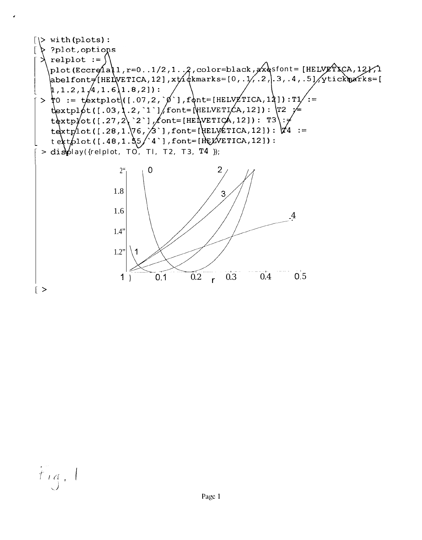

 $t_{14}$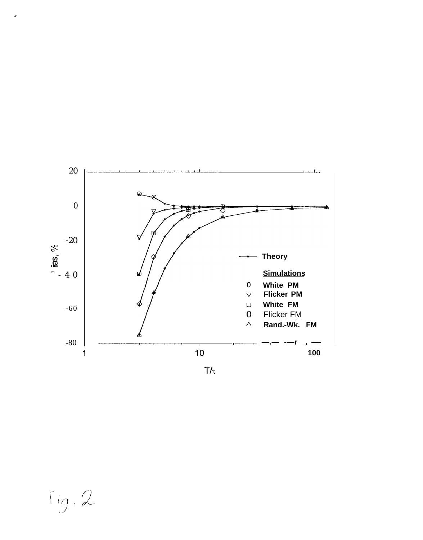

 $Tig.2$